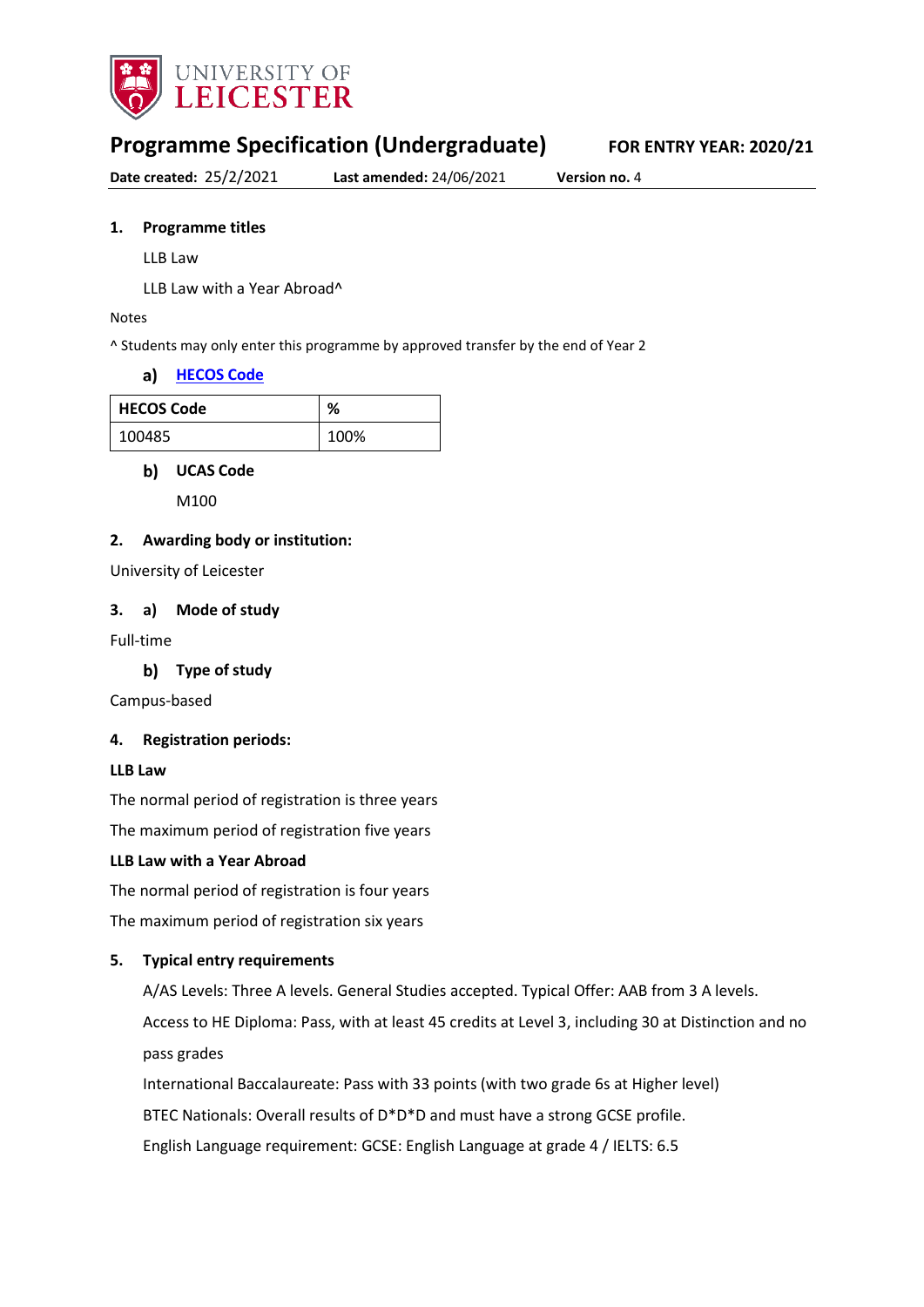

# **Programme Specification (Undergraduate) FOR ENTRY YEAR: 2020/21**

**Date created:** 25/2/2021 **Last amended:** 24/06/2021 **Version no.** 4

#### **1. Programme titles**

LLB Law

LLB Law with a Year Abroad^

#### Notes

^ Students may only enter this programme by approved transfer by the end of Year 2

#### **[HECOS Code](https://www.hesa.ac.uk/innovation/hecos)**

| <b>HECOS Code</b> | ℅    |
|-------------------|------|
| 100485            | 100% |

#### **b)** UCAS Code

M100

#### **2. Awarding body or institution:**

University of Leicester

#### **3. a) Mode of study**

Full-time

#### **Type of study**

Campus-based

#### **4. Registration periods:**

#### **LLB Law**

The normal period of registration is three years

The maximum period of registration five years

#### **LLB Law with a Year Abroad**

The normal period of registration is four years

The maximum period of registration six years

#### **5. Typical entry requirements**

A/AS Levels: Three A levels. General Studies accepted. Typical Offer: AAB from 3 A levels. Access to HE Diploma: Pass, with at least 45 credits at Level 3, including 30 at Distinction and no pass grades

International Baccalaureate: Pass with 33 points (with two grade 6s at Higher level)

BTEC Nationals: Overall results of D\*D\*D and must have a strong GCSE profile.

English Language requirement: GCSE: English Language at grade 4 / IELTS: 6.5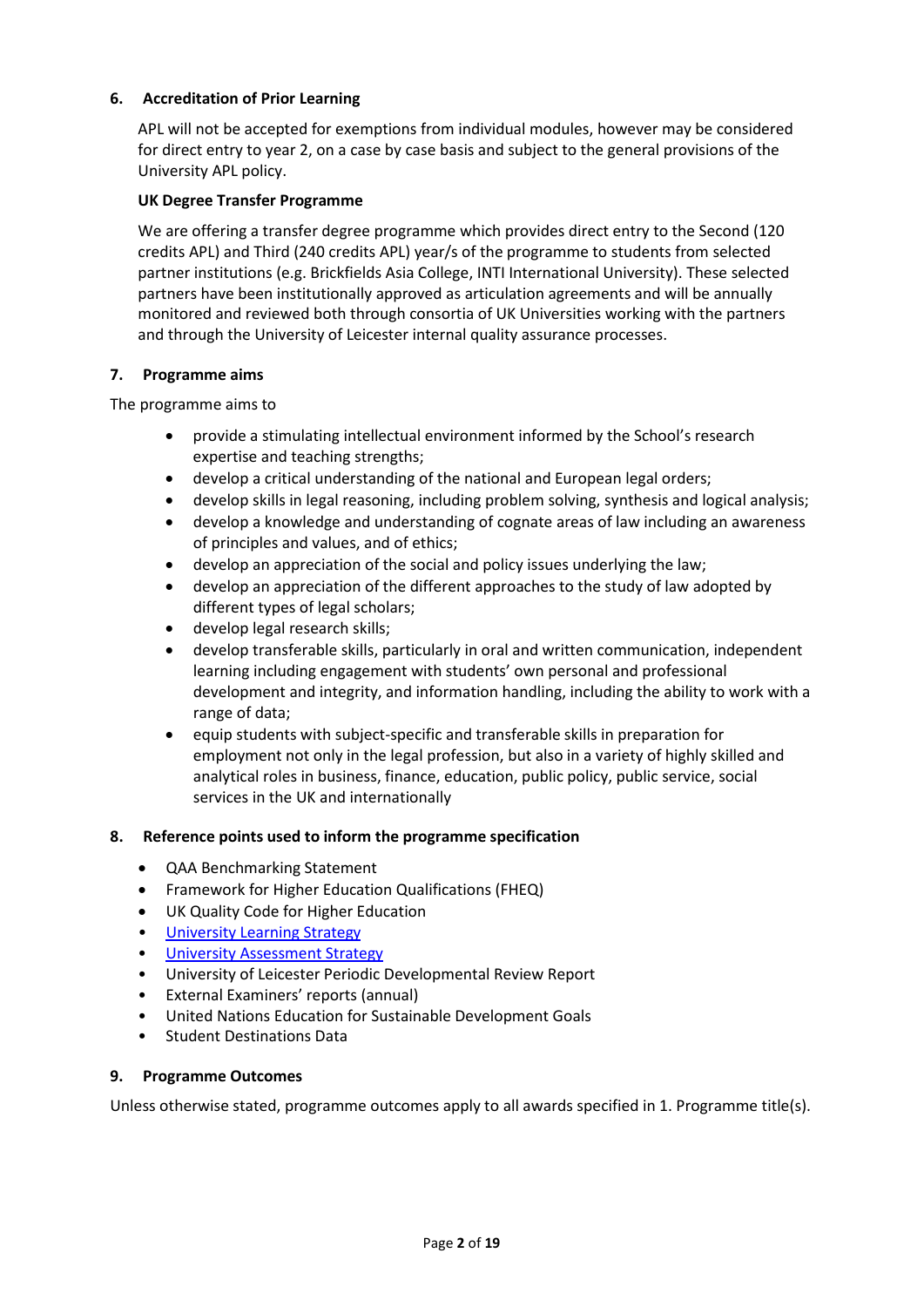### **6. Accreditation of Prior Learning**

APL will not be accepted for exemptions from individual modules, however may be considered for direct entry to year 2, on a case by case basis and subject to the general provisions of the University APL policy.

#### **UK Degree Transfer Programme**

We are offering a transfer degree programme which provides direct entry to the Second (120 credits APL) and Third (240 credits APL) year/s of the programme to students from selected partner institutions (e.g. Brickfields Asia College, INTI International University). These selected partners have been institutionally approved as articulation agreements and will be annually monitored and reviewed both through consortia of UK Universities working with the partners and through the University of Leicester internal quality assurance processes.

#### **7. Programme aims**

The programme aims to

- provide a stimulating intellectual environment informed by the School's research expertise and teaching strengths;
- develop a critical understanding of the national and European legal orders;
- develop skills in legal reasoning, including problem solving, synthesis and logical analysis;
- develop a knowledge and understanding of cognate areas of law including an awareness of principles and values, and of ethics;
- develop an appreciation of the social and policy issues underlying the law;
- develop an appreciation of the different approaches to the study of law adopted by different types of legal scholars;
- develop legal research skills;
- develop transferable skills, particularly in oral and written communication, independent learning including engagement with students' own personal and professional development and integrity, and information handling, including the ability to work with a range of data;
- equip students with subject-specific and transferable skills in preparation for employment not only in the legal profession, but also in a variety of highly skilled and analytical roles in business, finance, education, public policy, public service, social services in the UK and internationally

### **8. Reference points used to inform the programme specification**

- QAA Benchmarking Statement
- Framework for Higher Education Qualifications (FHEQ)
- UK Quality Code for Higher Education
- University Learnin[g Strategy](https://www2.le.ac.uk/offices/sas2/quality/learnteach)
- [University Assessment Strategy](https://www2.le.ac.uk/offices/sas2/quality/learnteach)
- University of Leicester Periodic Developmental Review Report
- External Examiners' reports (annual)
- United Nations Education for Sustainable Development Goals
- Student Destinations Data

#### **9. Programme Outcomes**

Unless otherwise stated, programme outcomes apply to all awards specified in 1. Programme title(s).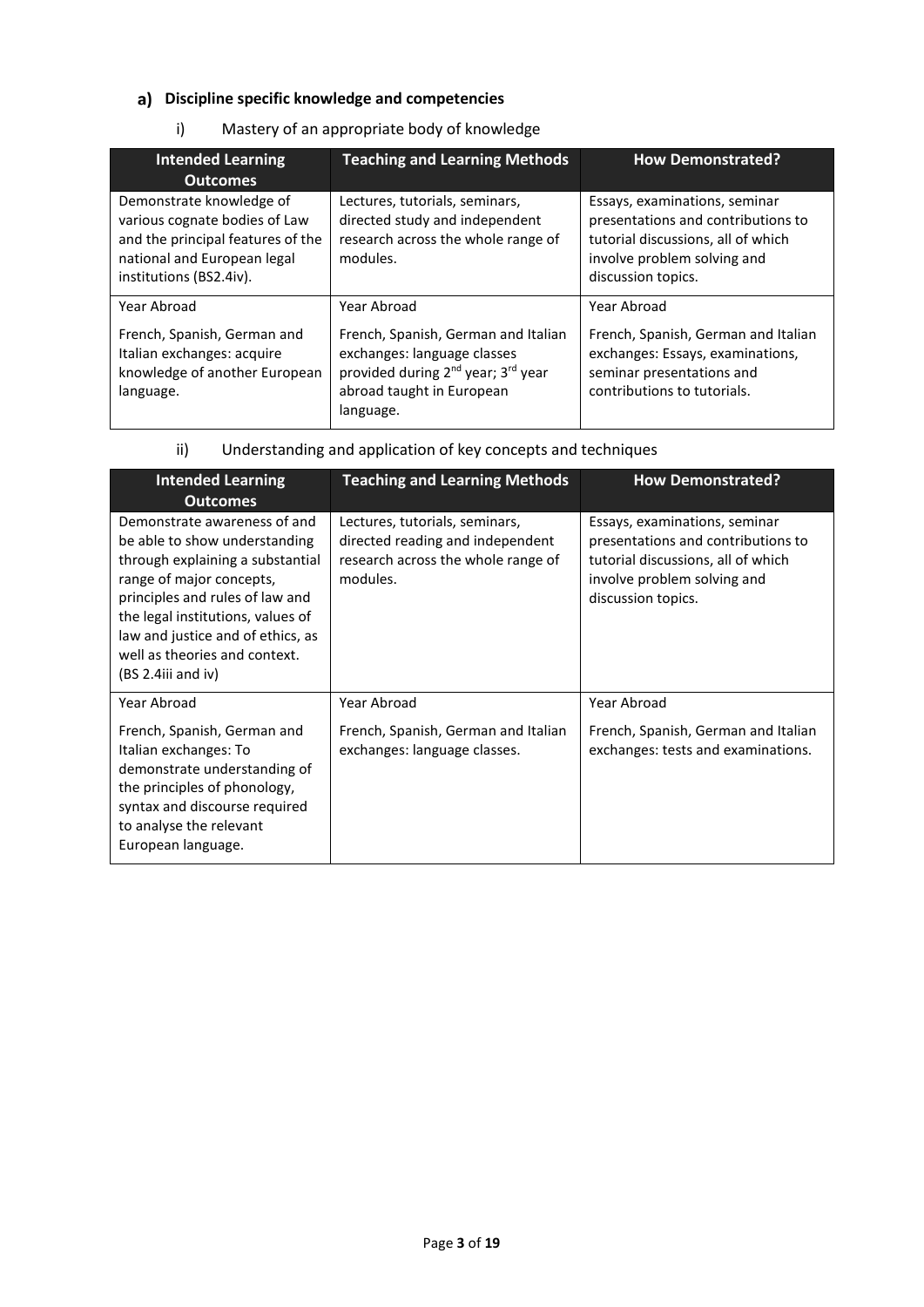# **Discipline specific knowledge and competencies**

## i) Mastery of an appropriate body of knowledge

| <b>Intended Learning</b><br><b>Outcomes</b>                                                                                                              | <b>Teaching and Learning Methods</b>                                                                                                                                       | <b>How Demonstrated?</b>                                                                                                                                       |
|----------------------------------------------------------------------------------------------------------------------------------------------------------|----------------------------------------------------------------------------------------------------------------------------------------------------------------------------|----------------------------------------------------------------------------------------------------------------------------------------------------------------|
| Demonstrate knowledge of<br>various cognate bodies of Law<br>and the principal features of the<br>national and European legal<br>institutions (BS2.4iv). | Lectures, tutorials, seminars,<br>directed study and independent<br>research across the whole range of<br>modules.                                                         | Essays, examinations, seminar<br>presentations and contributions to<br>tutorial discussions, all of which<br>involve problem solving and<br>discussion topics. |
| Year Abroad                                                                                                                                              | Year Abroad                                                                                                                                                                | Year Abroad                                                                                                                                                    |
| French, Spanish, German and<br>Italian exchanges: acquire<br>knowledge of another European<br>language.                                                  | French, Spanish, German and Italian<br>exchanges: language classes<br>provided during 2 <sup>nd</sup> year; 3 <sup>rd</sup> year<br>abroad taught in European<br>language. | French, Spanish, German and Italian<br>exchanges: Essays, examinations,<br>seminar presentations and<br>contributions to tutorials.                            |

### ii) Understanding and application of key concepts and techniques

| <b>Intended Learning</b><br><b>Outcomes</b>                                                                                                                                                                                                                                                         | <b>Teaching and Learning Methods</b>                                                                                 | <b>How Demonstrated?</b>                                                                                                                                       |
|-----------------------------------------------------------------------------------------------------------------------------------------------------------------------------------------------------------------------------------------------------------------------------------------------------|----------------------------------------------------------------------------------------------------------------------|----------------------------------------------------------------------------------------------------------------------------------------------------------------|
| Demonstrate awareness of and<br>be able to show understanding<br>through explaining a substantial<br>range of major concepts,<br>principles and rules of law and<br>the legal institutions, values of<br>law and justice and of ethics, as<br>well as theories and context.<br>$(BS 2.4iii$ and iv) | Lectures, tutorials, seminars,<br>directed reading and independent<br>research across the whole range of<br>modules. | Essays, examinations, seminar<br>presentations and contributions to<br>tutorial discussions, all of which<br>involve problem solving and<br>discussion topics. |
| Year Abroad                                                                                                                                                                                                                                                                                         | Year Abroad                                                                                                          | Year Abroad                                                                                                                                                    |
| French, Spanish, German and<br>Italian exchanges: To<br>demonstrate understanding of<br>the principles of phonology,<br>syntax and discourse required<br>to analyse the relevant<br>European language.                                                                                              | French, Spanish, German and Italian<br>exchanges: language classes.                                                  | French, Spanish, German and Italian<br>exchanges: tests and examinations.                                                                                      |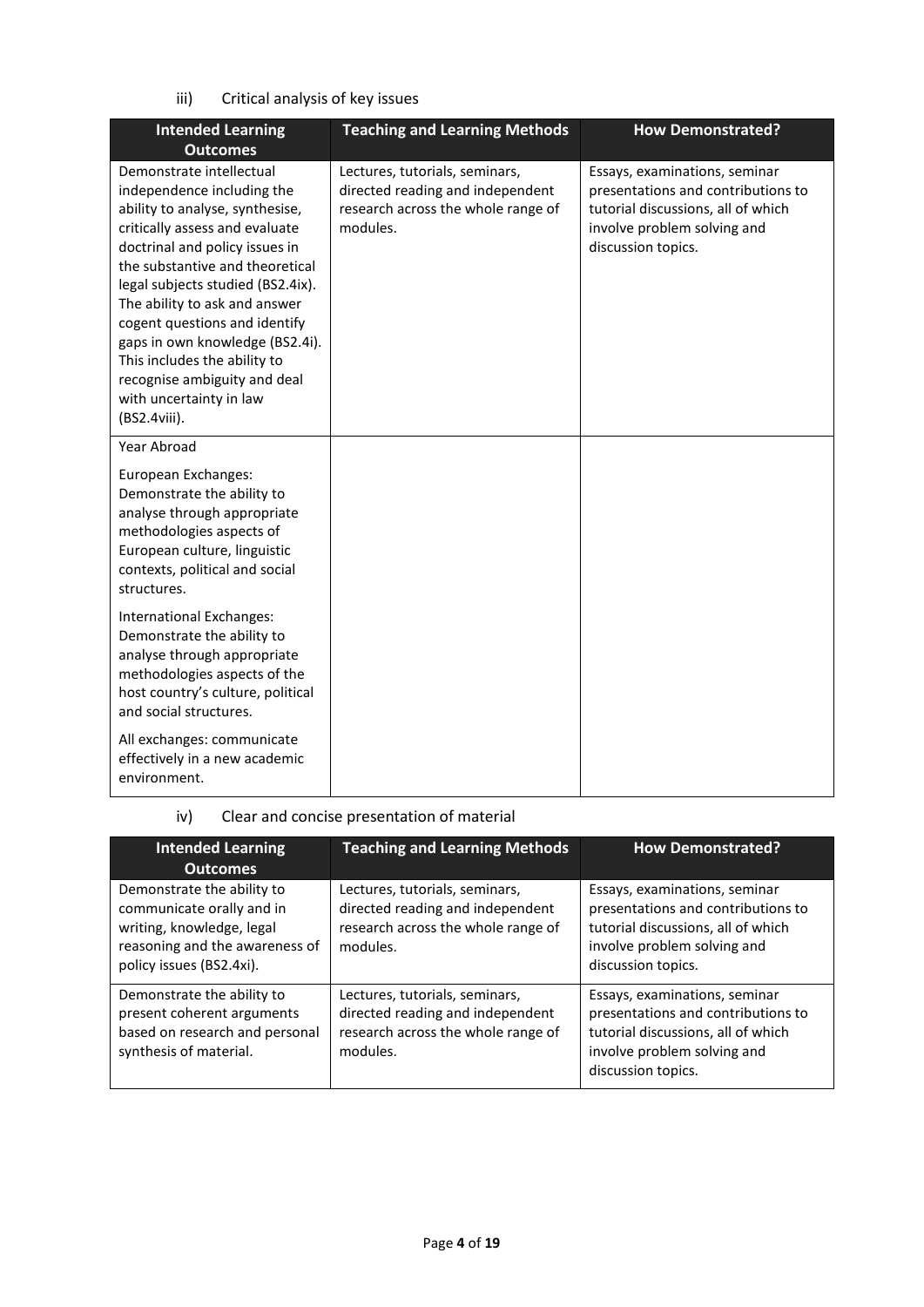iii) Critical analysis of key issues

| <b>Intended Learning</b><br><b>Outcomes</b>                                                                                                                                                                                                                                                                                                                                                                                                           | <b>Teaching and Learning Methods</b>                                                                                 | <b>How Demonstrated?</b>                                                                                                                                       |
|-------------------------------------------------------------------------------------------------------------------------------------------------------------------------------------------------------------------------------------------------------------------------------------------------------------------------------------------------------------------------------------------------------------------------------------------------------|----------------------------------------------------------------------------------------------------------------------|----------------------------------------------------------------------------------------------------------------------------------------------------------------|
| Demonstrate intellectual<br>independence including the<br>ability to analyse, synthesise,<br>critically assess and evaluate<br>doctrinal and policy issues in<br>the substantive and theoretical<br>legal subjects studied (BS2.4ix).<br>The ability to ask and answer<br>cogent questions and identify<br>gaps in own knowledge (BS2.4i).<br>This includes the ability to<br>recognise ambiguity and deal<br>with uncertainty in law<br>(BS2.4viii). | Lectures, tutorials, seminars,<br>directed reading and independent<br>research across the whole range of<br>modules. | Essays, examinations, seminar<br>presentations and contributions to<br>tutorial discussions, all of which<br>involve problem solving and<br>discussion topics. |
| Year Abroad                                                                                                                                                                                                                                                                                                                                                                                                                                           |                                                                                                                      |                                                                                                                                                                |
| European Exchanges:<br>Demonstrate the ability to<br>analyse through appropriate<br>methodologies aspects of<br>European culture, linguistic<br>contexts, political and social<br>structures.                                                                                                                                                                                                                                                         |                                                                                                                      |                                                                                                                                                                |
| International Exchanges:<br>Demonstrate the ability to<br>analyse through appropriate<br>methodologies aspects of the<br>host country's culture, political<br>and social structures.                                                                                                                                                                                                                                                                  |                                                                                                                      |                                                                                                                                                                |
| All exchanges: communicate<br>effectively in a new academic<br>environment.                                                                                                                                                                                                                                                                                                                                                                           |                                                                                                                      |                                                                                                                                                                |

# iv) Clear and concise presentation of material

| <b>Intended Learning</b><br><b>Outcomes</b>                                                                                                        | <b>Teaching and Learning Methods</b>                                                                                 | <b>How Demonstrated?</b>                                                                                                                                       |
|----------------------------------------------------------------------------------------------------------------------------------------------------|----------------------------------------------------------------------------------------------------------------------|----------------------------------------------------------------------------------------------------------------------------------------------------------------|
| Demonstrate the ability to<br>communicate orally and in<br>writing, knowledge, legal<br>reasoning and the awareness of<br>policy issues (BS2.4xi). | Lectures, tutorials, seminars,<br>directed reading and independent<br>research across the whole range of<br>modules. | Essays, examinations, seminar<br>presentations and contributions to<br>tutorial discussions, all of which<br>involve problem solving and<br>discussion topics. |
| Demonstrate the ability to<br>present coherent arguments<br>based on research and personal<br>synthesis of material.                               | Lectures, tutorials, seminars,<br>directed reading and independent<br>research across the whole range of<br>modules. | Essays, examinations, seminar<br>presentations and contributions to<br>tutorial discussions, all of which<br>involve problem solving and<br>discussion topics. |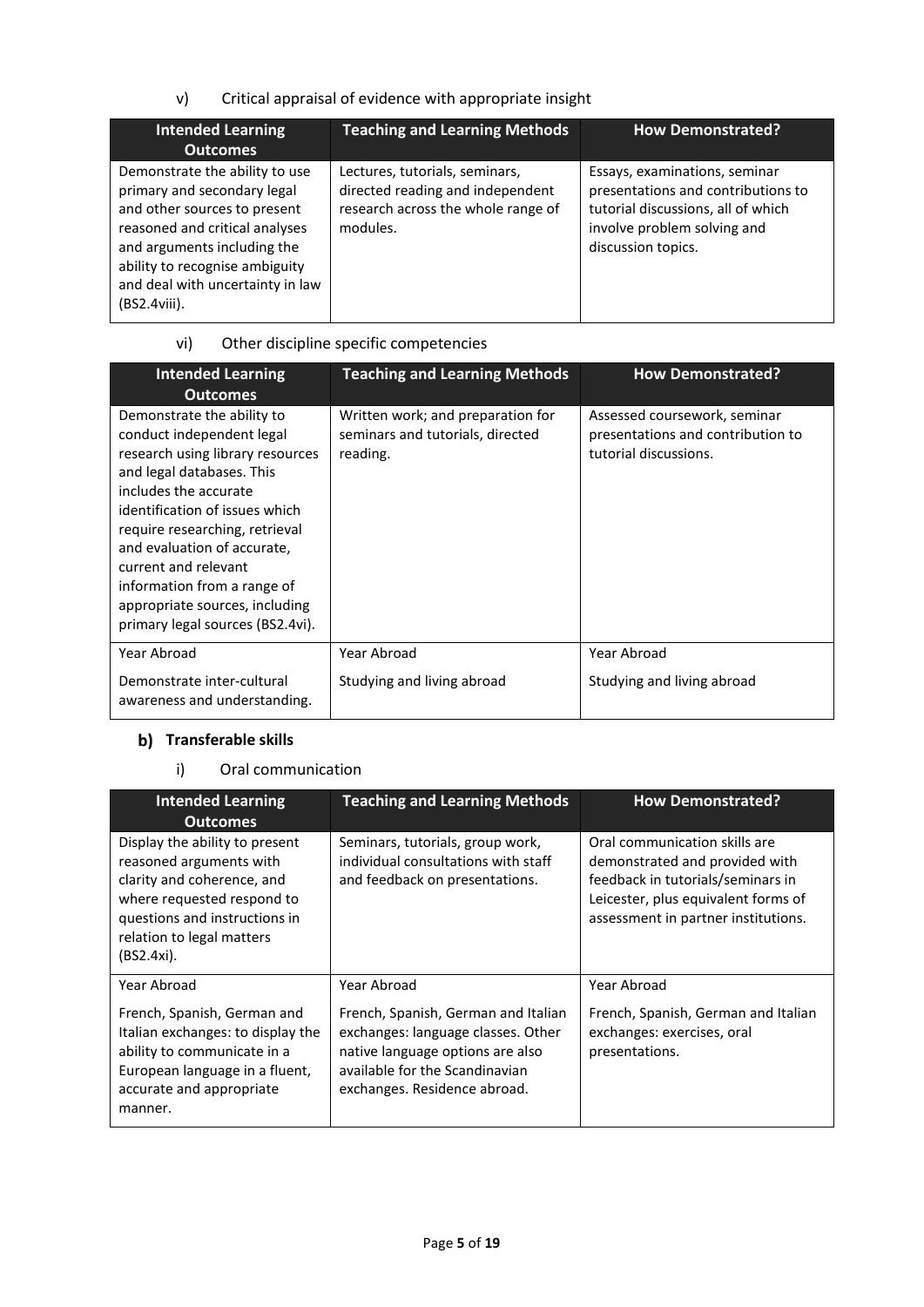v) Critical appraisal of evidence with appropriate insight

| <b>Intended Learning</b><br><b>Outcomes</b>                                                                                                                                                                                                             | <b>Teaching and Learning Methods</b>                                                                                 | <b>How Demonstrated?</b>                                                                                                                                       |
|---------------------------------------------------------------------------------------------------------------------------------------------------------------------------------------------------------------------------------------------------------|----------------------------------------------------------------------------------------------------------------------|----------------------------------------------------------------------------------------------------------------------------------------------------------------|
| Demonstrate the ability to use<br>primary and secondary legal<br>and other sources to present<br>reasoned and critical analyses<br>and arguments including the<br>ability to recognise ambiguity<br>and deal with uncertainty in law<br>$(BS2.4viii)$ . | Lectures, tutorials, seminars,<br>directed reading and independent<br>research across the whole range of<br>modules. | Essays, examinations, seminar<br>presentations and contributions to<br>tutorial discussions, all of which<br>involve problem solving and<br>discussion topics. |

# vi) Other discipline specific competencies

| <b>Intended Learning</b><br><b>Outcomes</b>                                                                                                                                                                                                                                                                                                                                       | <b>Teaching and Learning Methods</b>                                              | <b>How Demonstrated?</b>                                                                   |
|-----------------------------------------------------------------------------------------------------------------------------------------------------------------------------------------------------------------------------------------------------------------------------------------------------------------------------------------------------------------------------------|-----------------------------------------------------------------------------------|--------------------------------------------------------------------------------------------|
| Demonstrate the ability to<br>conduct independent legal<br>research using library resources<br>and legal databases. This<br>includes the accurate<br>identification of issues which<br>require researching, retrieval<br>and evaluation of accurate,<br>current and relevant<br>information from a range of<br>appropriate sources, including<br>primary legal sources (BS2.4vi). | Written work; and preparation for<br>seminars and tutorials, directed<br>reading. | Assessed coursework, seminar<br>presentations and contribution to<br>tutorial discussions. |
| Year Abroad                                                                                                                                                                                                                                                                                                                                                                       | Year Abroad                                                                       | Year Abroad                                                                                |
| Demonstrate inter-cultural<br>awareness and understanding.                                                                                                                                                                                                                                                                                                                        | Studying and living abroad                                                        | Studying and living abroad                                                                 |

# **b)** Transferable skills

### i) Oral communication

| <b>Intended Learning</b><br><b>Outcomes</b>                                                                                                                                                       | <b>Teaching and Learning Methods</b>                                                                                                                                                           | <b>How Demonstrated?</b>                                                                                                                                                           |
|---------------------------------------------------------------------------------------------------------------------------------------------------------------------------------------------------|------------------------------------------------------------------------------------------------------------------------------------------------------------------------------------------------|------------------------------------------------------------------------------------------------------------------------------------------------------------------------------------|
| Display the ability to present<br>reasoned arguments with<br>clarity and coherence, and<br>where requested respond to<br>questions and instructions in<br>relation to legal matters<br>(BS2.4xi). | Seminars, tutorials, group work,<br>individual consultations with staff<br>and feedback on presentations.                                                                                      | Oral communication skills are<br>demonstrated and provided with<br>feedback in tutorials/seminars in<br>Leicester, plus equivalent forms of<br>assessment in partner institutions. |
| Year Abroad<br>French, Spanish, German and<br>Italian exchanges: to display the<br>ability to communicate in a<br>European language in a fluent,<br>accurate and appropriate<br>manner.           | Year Abroad<br>French, Spanish, German and Italian<br>exchanges: language classes. Other<br>native language options are also<br>available for the Scandinavian<br>exchanges. Residence abroad. | Year Abroad<br>French, Spanish, German and Italian<br>exchanges: exercises, oral<br>presentations.                                                                                 |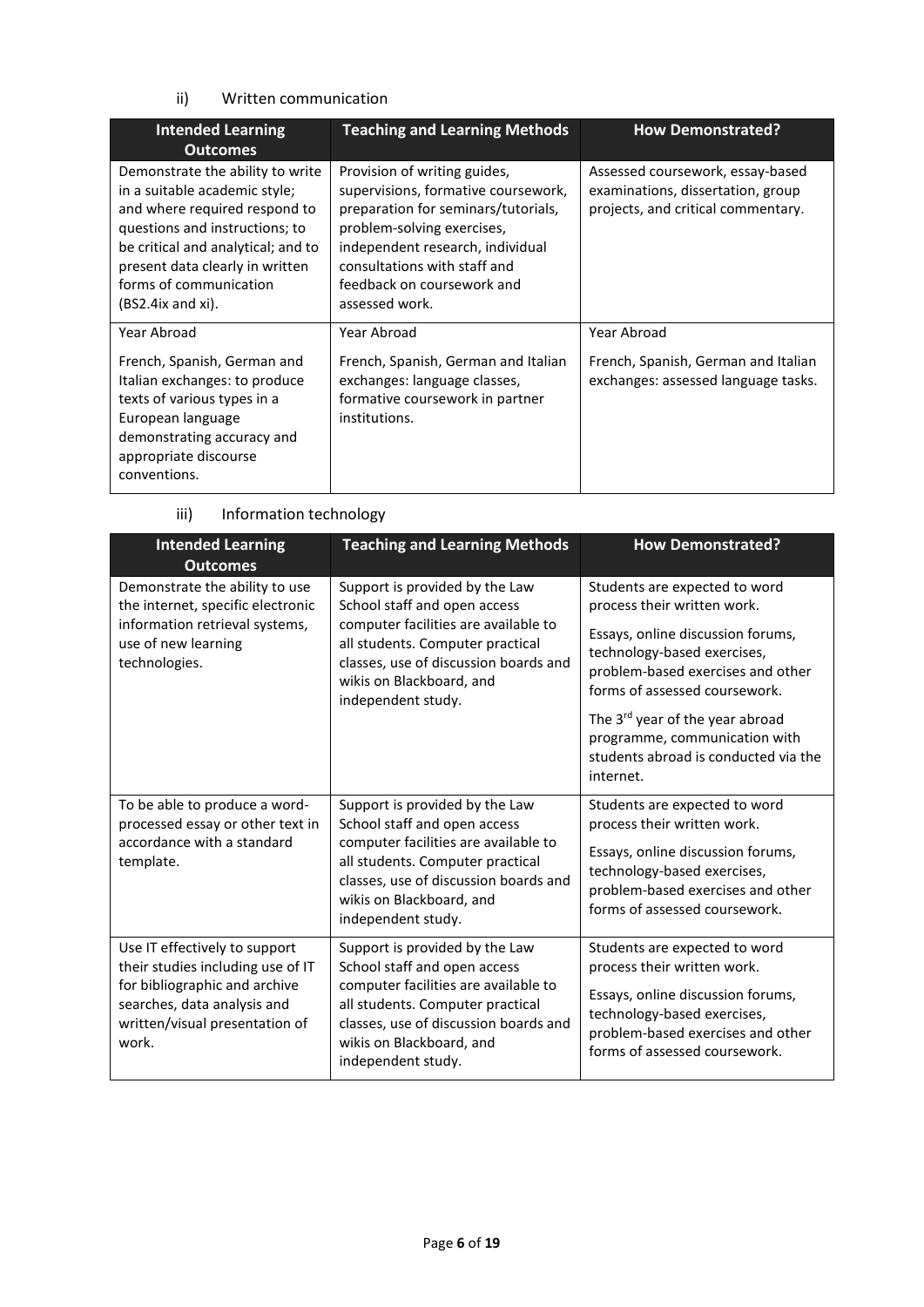### ii) Written communication

| <b>Intended Learning</b><br><b>Outcomes</b>                                                                                                                                                                                                                  | <b>Teaching and Learning Methods</b>                                                                                                                                                                                                                         | <b>How Demonstrated?</b>                                                                                    |
|--------------------------------------------------------------------------------------------------------------------------------------------------------------------------------------------------------------------------------------------------------------|--------------------------------------------------------------------------------------------------------------------------------------------------------------------------------------------------------------------------------------------------------------|-------------------------------------------------------------------------------------------------------------|
| Demonstrate the ability to write<br>in a suitable academic style;<br>and where required respond to<br>questions and instructions; to<br>be critical and analytical; and to<br>present data clearly in written<br>forms of communication<br>(BS2.4ix and xi). | Provision of writing guides,<br>supervisions, formative coursework,<br>preparation for seminars/tutorials,<br>problem-solving exercises,<br>independent research, individual<br>consultations with staff and<br>feedback on coursework and<br>assessed work. | Assessed coursework, essay-based<br>examinations, dissertation, group<br>projects, and critical commentary. |
| Year Abroad                                                                                                                                                                                                                                                  | Year Abroad                                                                                                                                                                                                                                                  | Year Abroad                                                                                                 |
| French, Spanish, German and<br>Italian exchanges: to produce<br>texts of various types in a<br>European language<br>demonstrating accuracy and<br>appropriate discourse<br>conventions.                                                                      | French, Spanish, German and Italian<br>exchanges: language classes,<br>formative coursework in partner<br>institutions.                                                                                                                                      | French, Spanish, German and Italian<br>exchanges: assessed language tasks.                                  |

| <b>Intended Learning</b><br><b>Outcomes</b>                                                             | <b>Teaching and Learning Methods</b>                                                                                                                                | <b>How Demonstrated?</b>                                                                                                               |
|---------------------------------------------------------------------------------------------------------|---------------------------------------------------------------------------------------------------------------------------------------------------------------------|----------------------------------------------------------------------------------------------------------------------------------------|
| Demonstrate the ability to use<br>the internet, specific electronic<br>information retrieval systems,   | Support is provided by the Law<br>School staff and open access<br>computer facilities are available to                                                              | Students are expected to word<br>process their written work.<br>Essays, online discussion forums,                                      |
| use of new learning<br>technologies.                                                                    | all students. Computer practical<br>classes, use of discussion boards and<br>wikis on Blackboard, and<br>independent study.                                         | technology-based exercises,<br>problem-based exercises and other<br>forms of assessed coursework.                                      |
|                                                                                                         |                                                                                                                                                                     | The 3rd year of the year abroad<br>programme, communication with<br>students abroad is conducted via the<br>internet.                  |
| To be able to produce a word-<br>processed essay or other text in                                       | Support is provided by the Law<br>School staff and open access                                                                                                      | Students are expected to word<br>process their written work.                                                                           |
| accordance with a standard<br>template.                                                                 | computer facilities are available to<br>all students. Computer practical<br>classes, use of discussion boards and<br>wikis on Blackboard, and<br>independent study. | Essays, online discussion forums,<br>technology-based exercises,<br>problem-based exercises and other<br>forms of assessed coursework. |
| Use IT effectively to support<br>their studies including use of IT                                      | Support is provided by the Law<br>School staff and open access                                                                                                      | Students are expected to word<br>process their written work.                                                                           |
| for bibliographic and archive<br>searches, data analysis and<br>written/visual presentation of<br>work. | computer facilities are available to<br>all students. Computer practical<br>classes, use of discussion boards and<br>wikis on Blackboard, and<br>independent study. | Essays, online discussion forums,<br>technology-based exercises,<br>problem-based exercises and other<br>forms of assessed coursework. |

iii) Information technology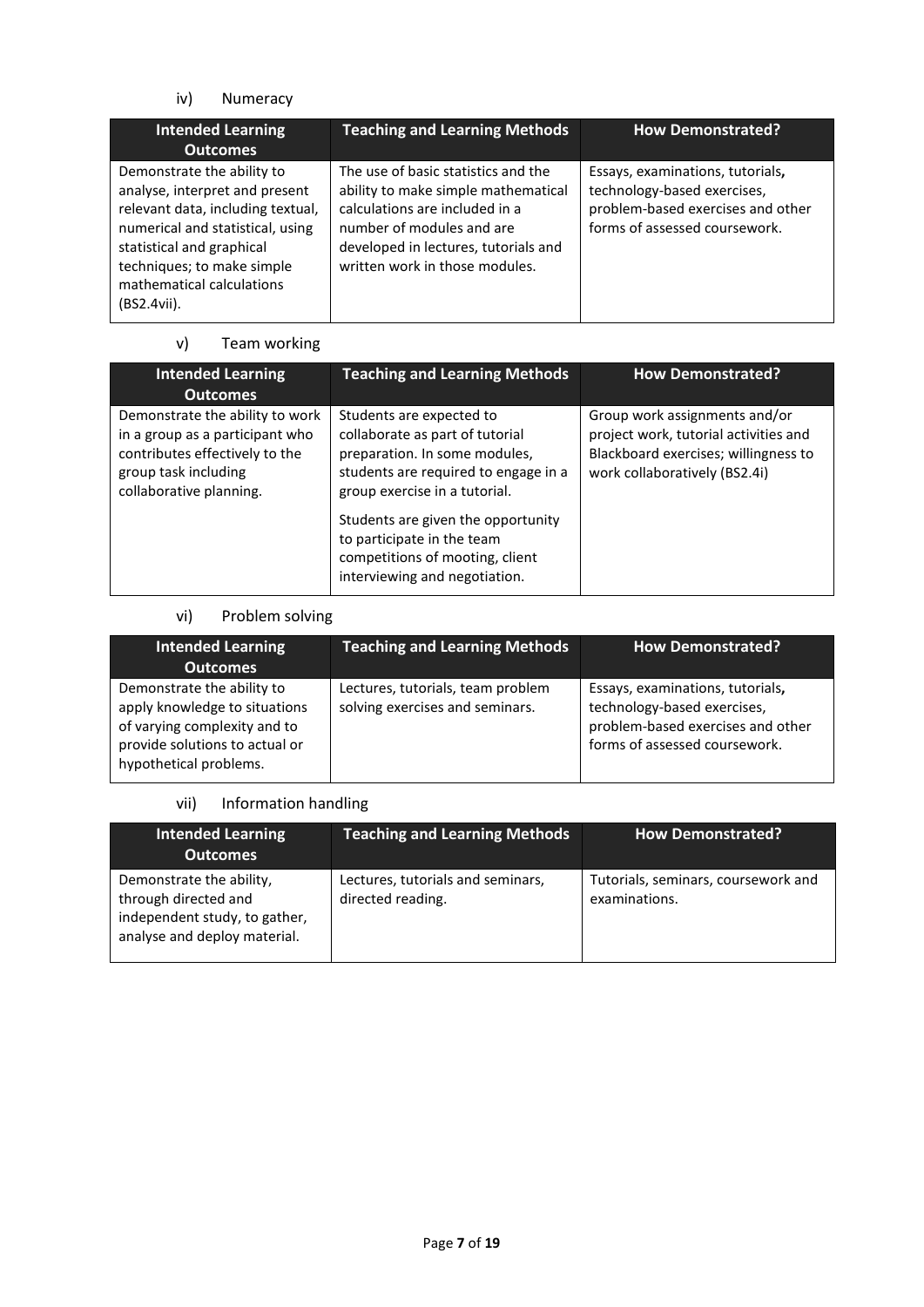iv) Numeracy

| <b>Intended Learning</b><br><b>Outcomes</b>                                                                                                                                                                                                  | <b>Teaching and Learning Methods</b>                                                                                                                                                                                | <b>How Demonstrated?</b>                                                                                                              |
|----------------------------------------------------------------------------------------------------------------------------------------------------------------------------------------------------------------------------------------------|---------------------------------------------------------------------------------------------------------------------------------------------------------------------------------------------------------------------|---------------------------------------------------------------------------------------------------------------------------------------|
| Demonstrate the ability to<br>analyse, interpret and present<br>relevant data, including textual,<br>numerical and statistical, using<br>statistical and graphical<br>techniques; to make simple<br>mathematical calculations<br>(BS2.4vii). | The use of basic statistics and the<br>ability to make simple mathematical<br>calculations are included in a<br>number of modules and are<br>developed in lectures, tutorials and<br>written work in those modules. | Essays, examinations, tutorials,<br>technology-based exercises,<br>problem-based exercises and other<br>forms of assessed coursework. |

# v) Team working

| <b>Intended Learning</b><br><b>Outcomes</b>                                                                                                             | <b>Teaching and Learning Methods</b>                                                                                                                                  | <b>How Demonstrated?</b>                                                                                                                        |
|---------------------------------------------------------------------------------------------------------------------------------------------------------|-----------------------------------------------------------------------------------------------------------------------------------------------------------------------|-------------------------------------------------------------------------------------------------------------------------------------------------|
| Demonstrate the ability to work<br>in a group as a participant who<br>contributes effectively to the<br>group task including<br>collaborative planning. | Students are expected to<br>collaborate as part of tutorial<br>preparation. In some modules,<br>students are required to engage in a<br>group exercise in a tutorial. | Group work assignments and/or<br>project work, tutorial activities and<br>Blackboard exercises; willingness to<br>work collaboratively (BS2.4i) |
|                                                                                                                                                         | Students are given the opportunity<br>to participate in the team<br>competitions of mooting, client<br>interviewing and negotiation.                                  |                                                                                                                                                 |

# vi) Problem solving

| <b>Intended Learning</b><br><b>Outcomes</b>                                                                                                             | <b>Teaching and Learning Methods</b>                                 | <b>How Demonstrated?</b>                                                                                                              |
|---------------------------------------------------------------------------------------------------------------------------------------------------------|----------------------------------------------------------------------|---------------------------------------------------------------------------------------------------------------------------------------|
| Demonstrate the ability to<br>apply knowledge to situations<br>of varying complexity and to<br>provide solutions to actual or<br>hypothetical problems. | Lectures, tutorials, team problem<br>solving exercises and seminars. | Essays, examinations, tutorials,<br>technology-based exercises,<br>problem-based exercises and other<br>forms of assessed coursework. |

## vii) Information handling

| <b>Intended Learning</b><br><b>Outcomes</b>                                                                       | <b>Teaching and Learning Methods</b>                   | <b>How Demonstrated?</b>                             |
|-------------------------------------------------------------------------------------------------------------------|--------------------------------------------------------|------------------------------------------------------|
| Demonstrate the ability,<br>through directed and<br>independent study, to gather,<br>analyse and deploy material. | Lectures, tutorials and seminars,<br>directed reading. | Tutorials, seminars, coursework and<br>examinations. |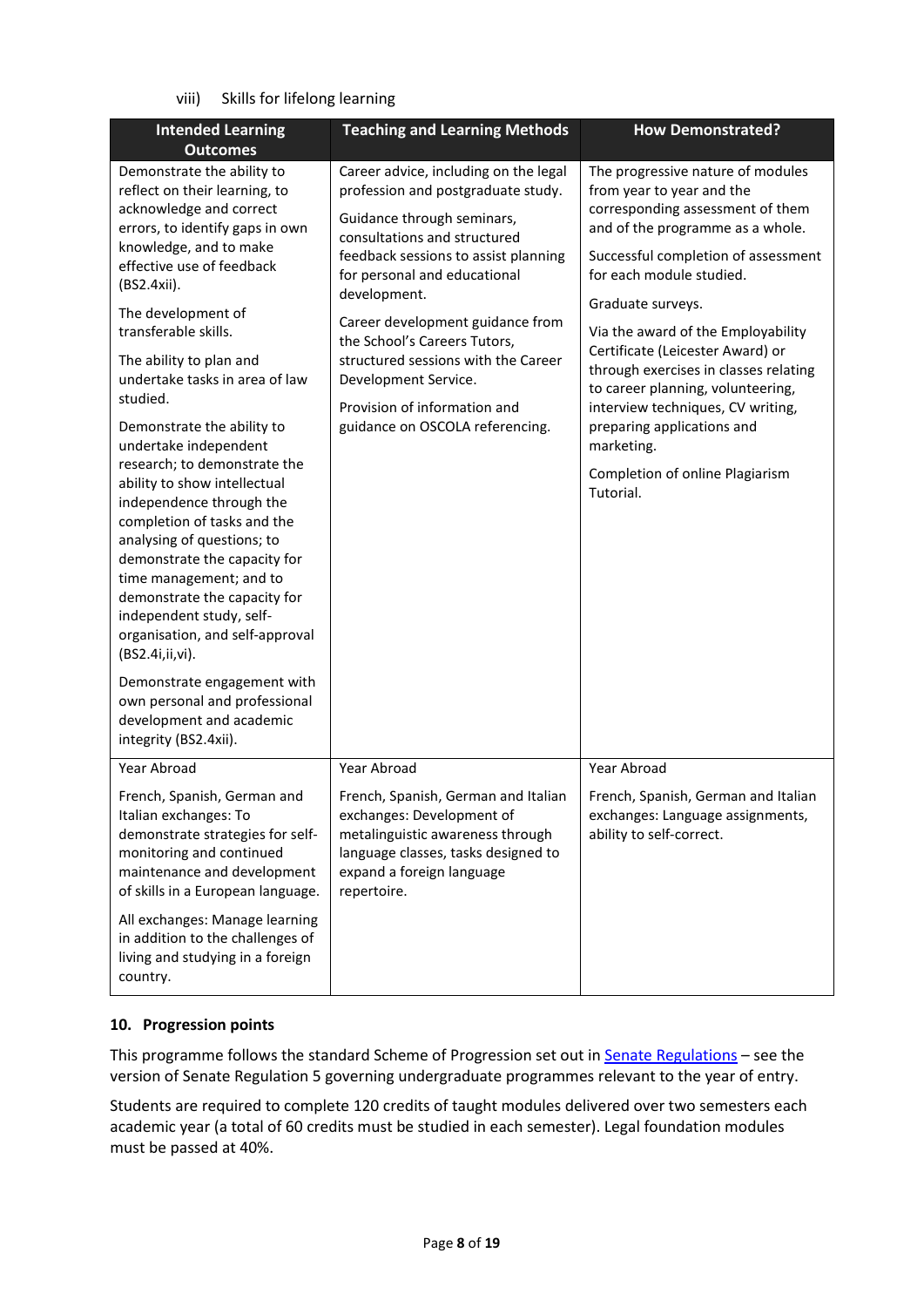viii) Skills for lifelong learning

| <b>Intended Learning</b>                                                                                                                                                                                                                                                                                                                                                                                                                                                                                       | <b>Teaching and Learning Methods</b>                                                                                                                                                                                                                                                                                                                                                                 | <b>How Demonstrated?</b>                                                                                                                                                                                                                                                                                                                                                               |
|----------------------------------------------------------------------------------------------------------------------------------------------------------------------------------------------------------------------------------------------------------------------------------------------------------------------------------------------------------------------------------------------------------------------------------------------------------------------------------------------------------------|------------------------------------------------------------------------------------------------------------------------------------------------------------------------------------------------------------------------------------------------------------------------------------------------------------------------------------------------------------------------------------------------------|----------------------------------------------------------------------------------------------------------------------------------------------------------------------------------------------------------------------------------------------------------------------------------------------------------------------------------------------------------------------------------------|
| <b>Outcomes</b><br>Demonstrate the ability to<br>reflect on their learning, to<br>acknowledge and correct<br>errors, to identify gaps in own<br>knowledge, and to make<br>effective use of feedback<br>(BS2.4xii).<br>The development of<br>transferable skills.<br>The ability to plan and<br>undertake tasks in area of law<br>studied.                                                                                                                                                                      | Career advice, including on the legal<br>profession and postgraduate study.<br>Guidance through seminars,<br>consultations and structured<br>feedback sessions to assist planning<br>for personal and educational<br>development.<br>Career development guidance from<br>the School's Careers Tutors,<br>structured sessions with the Career<br>Development Service.<br>Provision of information and | The progressive nature of modules<br>from year to year and the<br>corresponding assessment of them<br>and of the programme as a whole.<br>Successful completion of assessment<br>for each module studied.<br>Graduate surveys.<br>Via the award of the Employability<br>Certificate (Leicester Award) or<br>through exercises in classes relating<br>to career planning, volunteering, |
| Demonstrate the ability to<br>undertake independent<br>research; to demonstrate the<br>ability to show intellectual<br>independence through the<br>completion of tasks and the<br>analysing of questions; to<br>demonstrate the capacity for<br>time management; and to<br>demonstrate the capacity for<br>independent study, self-<br>organisation, and self-approval<br>(BS2.4i,ii,vi).<br>Demonstrate engagement with<br>own personal and professional<br>development and academic<br>integrity (BS2.4xii). | guidance on OSCOLA referencing.                                                                                                                                                                                                                                                                                                                                                                      | interview techniques, CV writing,<br>preparing applications and<br>marketing.<br>Completion of online Plagiarism<br>Tutorial.                                                                                                                                                                                                                                                          |
| Year Abroad<br>French, Spanish, German and<br>Italian exchanges: To<br>demonstrate strategies for self-<br>monitoring and continued<br>maintenance and development<br>of skills in a European language.<br>All exchanges: Manage learning<br>in addition to the challenges of<br>living and studying in a foreign<br>country.                                                                                                                                                                                  | Year Abroad<br>French, Spanish, German and Italian<br>exchanges: Development of<br>metalinguistic awareness through<br>language classes, tasks designed to<br>expand a foreign language<br>repertoire.                                                                                                                                                                                               | Year Abroad<br>French, Spanish, German and Italian<br>exchanges: Language assignments,<br>ability to self-correct.                                                                                                                                                                                                                                                                     |

### **10. Progression points**

This programme follows the standard Scheme of Progression set out i[n Senate Regulations](http://www.le.ac.uk/senate-regulations) - see the version of Senate Regulation 5 governing undergraduate programmes relevant to the year of entry.

Students are required to complete 120 credits of taught modules delivered over two semesters each academic year (a total of 60 credits must be studied in each semester). Legal foundation modules must be passed at 40%.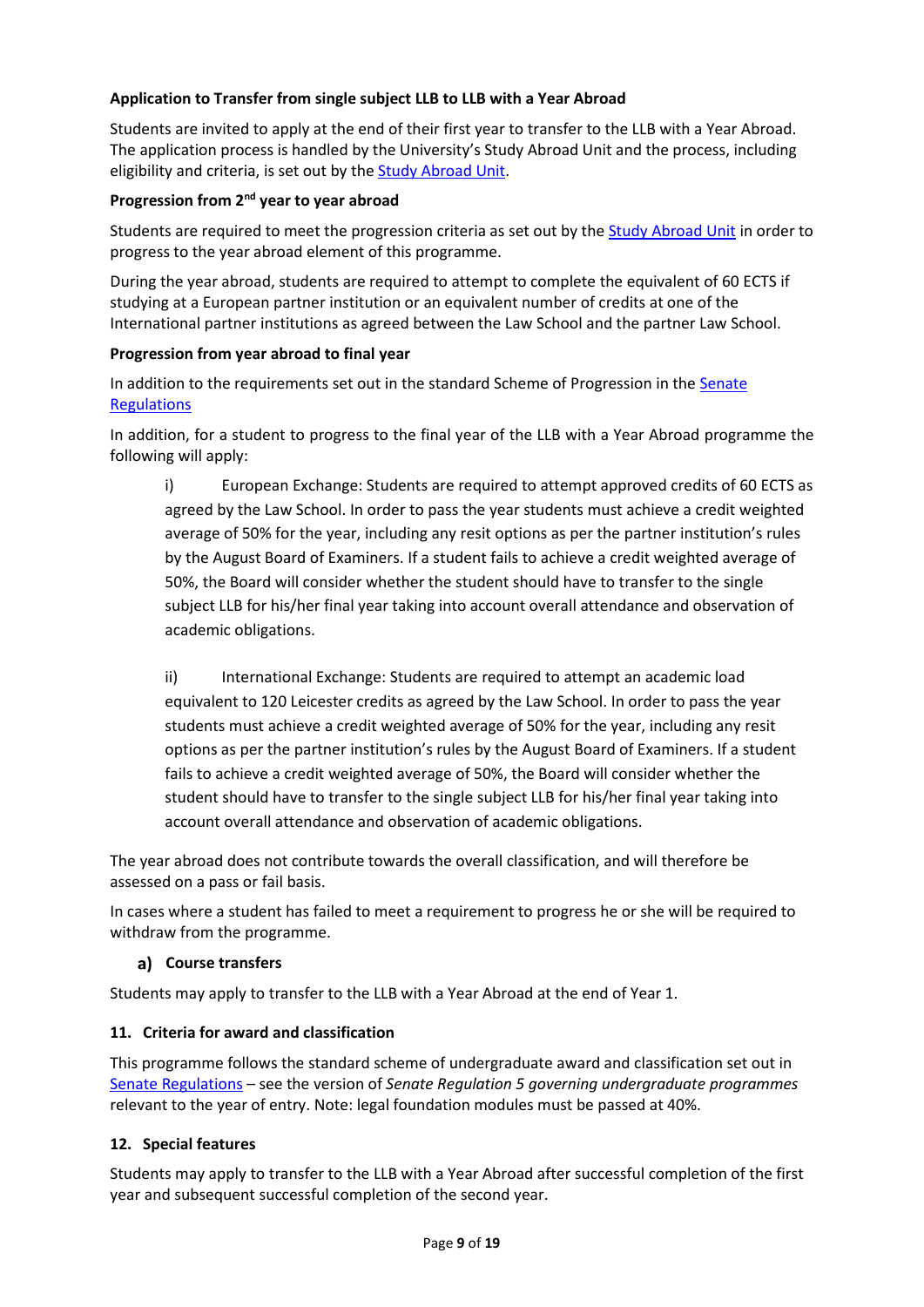### **Application to Transfer from single subject LLB to LLB with a Year Abroad**

Students are invited to apply at the end of their first year to transfer to the LLB with a Year Abroad. The application process is handled by the University's Study Abroad Unit and the process, including eligibility and criteria, is set out by th[e Study Abroad Unit.](https://uniofleicester.sharepoint.com/sites/StudyAbroad)

### **Progression from 2nd year to year abroad**

Students are required to meet the progression criteria as set out by the [Study Abroad Unit](https://uniofleicester.sharepoint.com/sites/StudyAbroad) in order to progress to the year abroad element of this programme.

During the year abroad, students are required to attempt to complete the equivalent of 60 ECTS if studying at a European partner institution or an equivalent number of credits at one of the International partner institutions as agreed between the Law School and the partner Law School.

#### **Progression from year abroad to final year**

In addition to the requirements set out in the standard Scheme of Progression in the [Senate](http://www.le.ac.uk/senate-regulations)  **[Regulations](http://www.le.ac.uk/senate-regulations)** 

In addition, for a student to progress to the final year of the LLB with a Year Abroad programme the following will apply:

i) European Exchange: Students are required to attempt approved credits of 60 ECTS as agreed by the Law School. In order to pass the year students must achieve a credit weighted average of 50% for the year, including any resit options as per the partner institution's rules by the August Board of Examiners. If a student fails to achieve a credit weighted average of 50%, the Board will consider whether the student should have to transfer to the single subject LLB for his/her final year taking into account overall attendance and observation of academic obligations.

ii) International Exchange: Students are required to attempt an academic load equivalent to 120 Leicester credits as agreed by the Law School. In order to pass the year students must achieve a credit weighted average of 50% for the year, including any resit options as per the partner institution's rules by the August Board of Examiners. If a student fails to achieve a credit weighted average of 50%, the Board will consider whether the student should have to transfer to the single subject LLB for his/her final year taking into account overall attendance and observation of academic obligations.

The year abroad does not contribute towards the overall classification, and will therefore be assessed on a pass or fail basis.

In cases where a student has failed to meet a requirement to progress he or she will be required to withdraw from the programme.

### **Course transfers**

Students may apply to transfer to the LLB with a Year Abroad at the end of Year 1.

#### **11. Criteria for award and classification**

This programme follows the standard scheme of undergraduate award and classification set out in [Senate Regulations](http://www.le.ac.uk/senate-regulations) – see the version of *Senate Regulation 5 governing undergraduate programmes* relevant to the year of entry. Note: legal foundation modules must be passed at 40%.

### **12. Special features**

Students may apply to transfer to the LLB with a Year Abroad after successful completion of the first year and subsequent successful completion of the second year.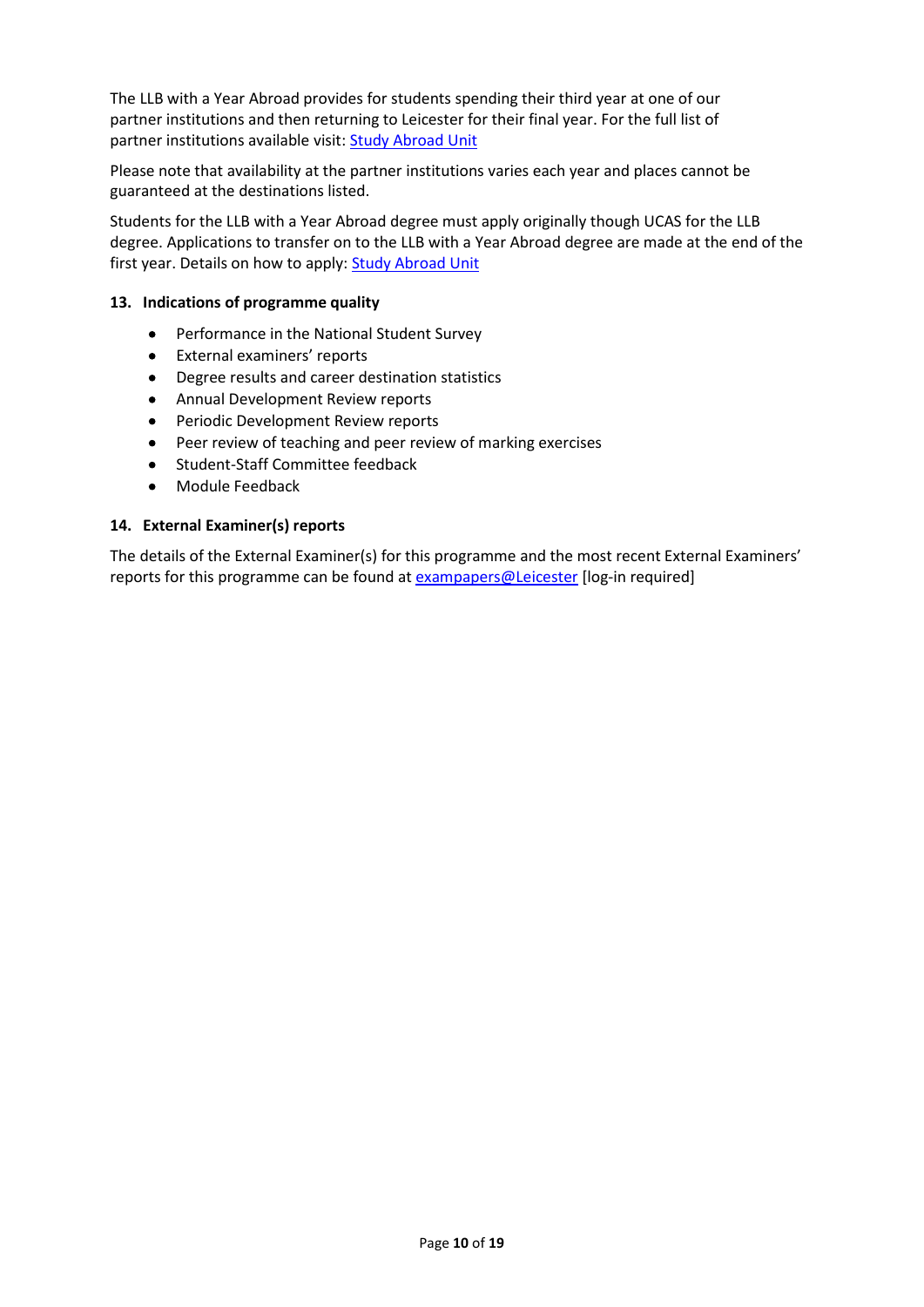The LLB with a Year Abroad provides for students spending their third year at one of our partner institutions and then returning to Leicester for their final year. For the full list of partner institutions available visit: **Study Abroad Unit** 

Please note that availability at the partner institutions varies each year and places cannot be guaranteed at the destinations listed.

Students for the LLB with a Year Abroad degree must apply originally though UCAS for the LLB degree. Applications to transfer on to the LLB with a Year Abroad degree are made at the end of the first year. Details on how to apply[: Study Abroad Unit](https://uniofleicester.sharepoint.com/sites/StudyAbroad)

#### **13. Indications of programme quality**

- Performance in the National Student Survey
- External examiners' reports
- Degree results and career destination statistics
- Annual Development Review reports
- Periodic Development Review reports
- Peer review of teaching and peer review of marking exercises
- Student-Staff Committee feedback
- Module Feedback

#### **14. External Examiner(s) reports**

The details of the External Examiner(s) for this programme and the most recent External Examiners' reports for this programme can be found at **[exampapers@Leicester](https://exampapers.le.ac.uk/)** [log-in required]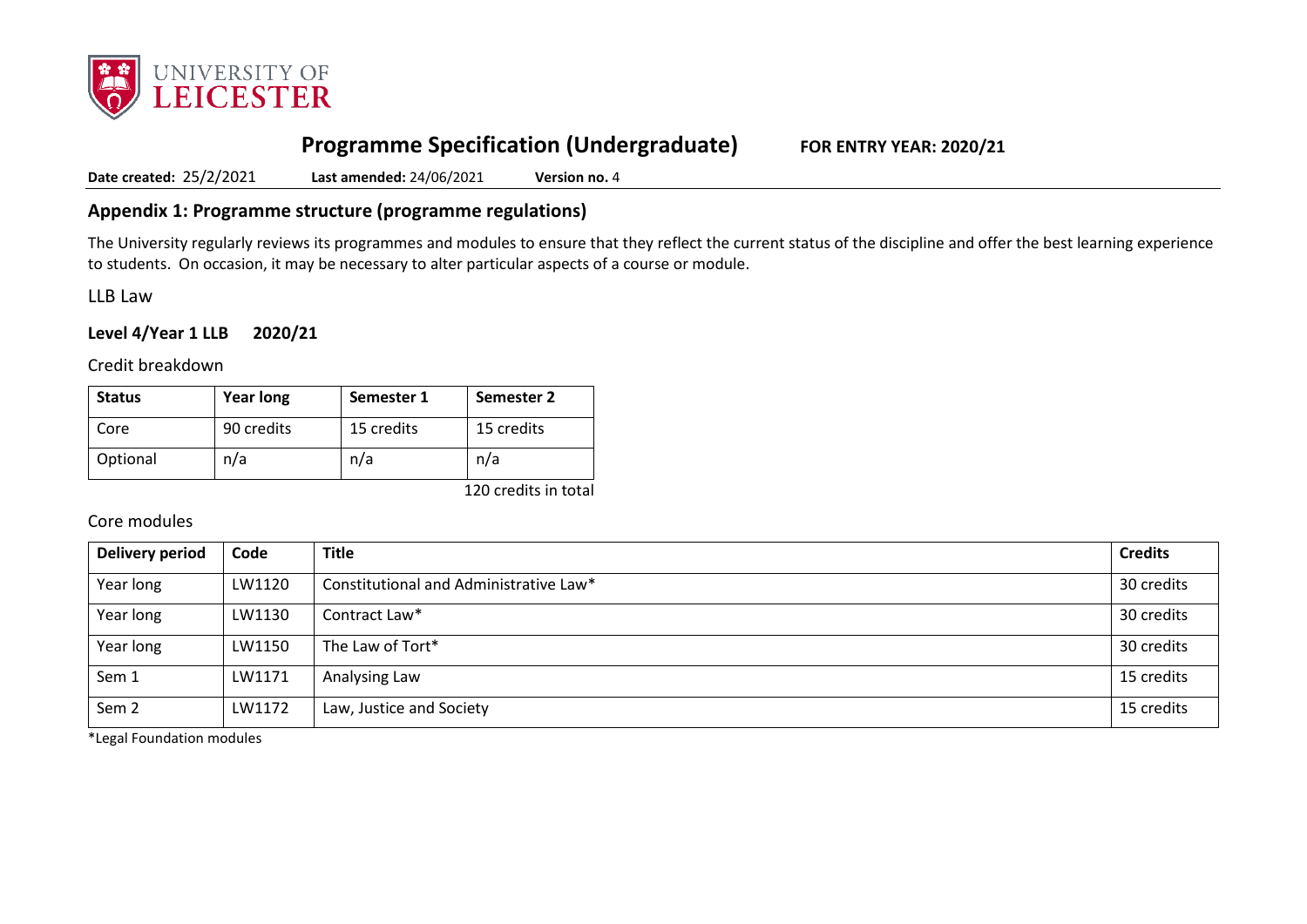

# **Programme Specification (Undergraduate) FOR ENTRY YEAR: 2020/21**

**Date created:** 25/2/2021 **Last amended:** 24/06/2021 **Version no.** 4

# **Appendix 1: Programme structure (programme regulations)**

The University regularly reviews its programmes and modules to ensure that they reflect the current status of the discipline and offer the best learning experience to students. On occasion, it may be necessary to alter particular aspects of a course or module.

LLB Law

### **Level 4/Year 1 LLB 2020/21**

Credit breakdown

| <b>Status</b> | <b>Year long</b> | Semester 1 | Semester 2 |
|---------------|------------------|------------|------------|
| Core          | 90 credits       | 15 credits | 15 credits |
| Optional      | n/a              | n/a        | n/a        |

120 credits in total

### Core modules

| Delivery period  | Code   | <b>Title</b>                           | <b>Credits</b> |
|------------------|--------|----------------------------------------|----------------|
| Year long        | LW1120 | Constitutional and Administrative Law* | 30 credits     |
| Year long        | LW1130 | Contract Law*                          | 30 credits     |
| Year long        | LW1150 | The Law of Tort*                       | 30 credits     |
| Sem 1            | LW1171 | Analysing Law                          | 15 credits     |
| Sem <sub>2</sub> | LW1172 | Law, Justice and Society               | 15 credits     |

\*Legal Foundation modules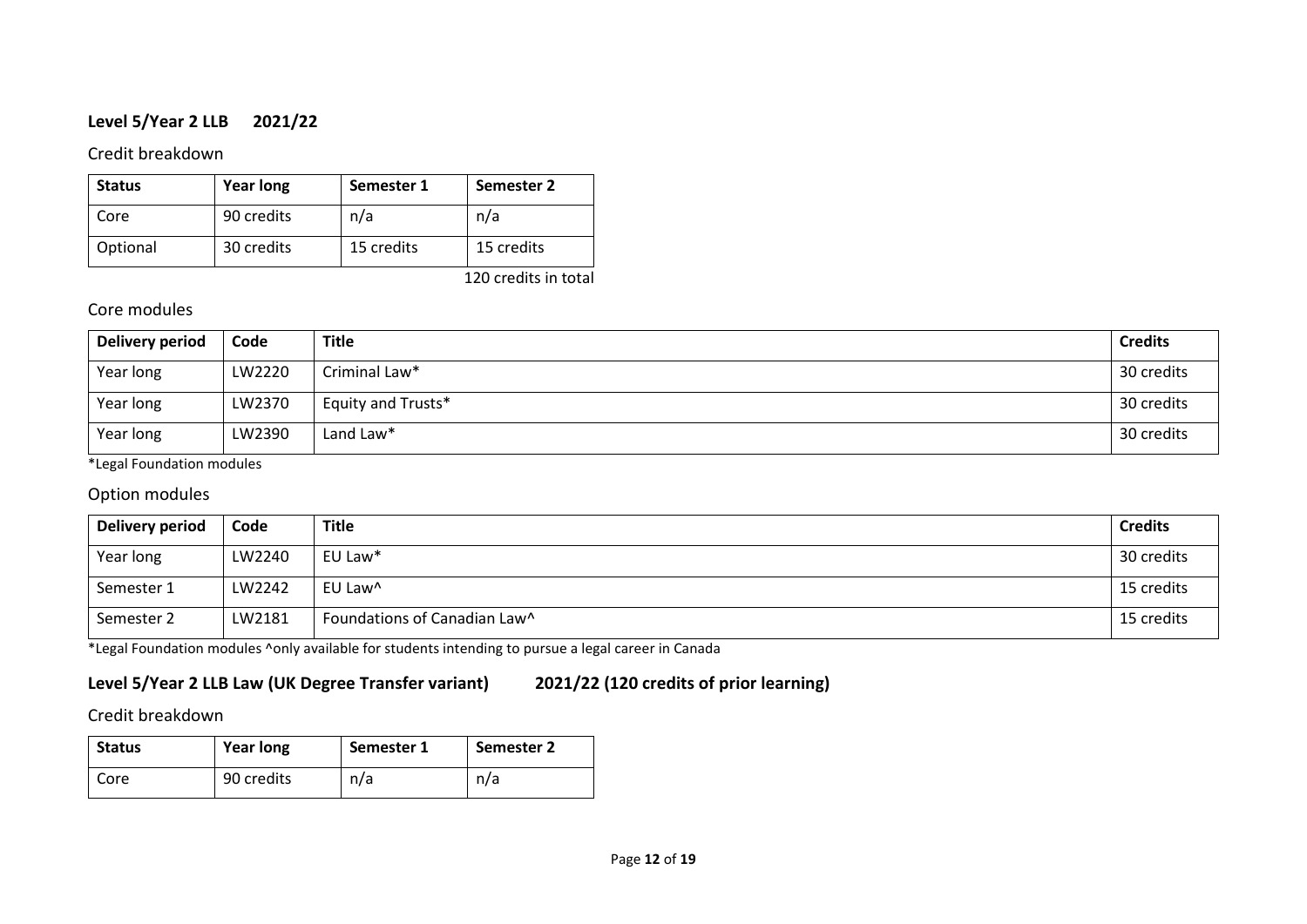# **Level 5/Year 2 LLB 2021/22**

# Credit breakdown

| <b>Status</b> | <b>Year long</b> | Semester 1 | Semester 2 |
|---------------|------------------|------------|------------|
| Core          | 90 credits       | n/a        | n/a        |
| Optional      | 30 credits       | 15 credits | 15 credits |

120 credits in total

# Core modules

| Delivery period | Code   | <b>Title</b>       | <b>Credits</b> |
|-----------------|--------|--------------------|----------------|
| Year long       | LW2220 | Criminal Law*      | 30 credits     |
| Year long       | LW2370 | Equity and Trusts* | 30 credits     |
| Year long       | LW2390 | Land Law*          | 30 credits     |

\*Legal Foundation modules

# Option modules

| Delivery period | Code   | <b>Title</b>                 | <b>Credits</b> |
|-----------------|--------|------------------------------|----------------|
| Year long       | LW2240 | EU Law*                      | 30 credits     |
| Semester 1      | LW2242 | EU Law <sup>^</sup>          | 15 credits     |
| Semester 2      | LW2181 | Foundations of Canadian Law^ | 15 credits     |

\*Legal Foundation modules ^only available for students intending to pursue a legal career in Canada

# **Level 5/Year 2 LLB Law (UK Degree Transfer variant) 2021/22 (120 credits of prior learning)**

# Credit breakdown

| <b>Status</b> | <b>Year long</b> | Semester 1 | Semester 2 |
|---------------|------------------|------------|------------|
| Core          | 90 credits       | n/a        | n/a        |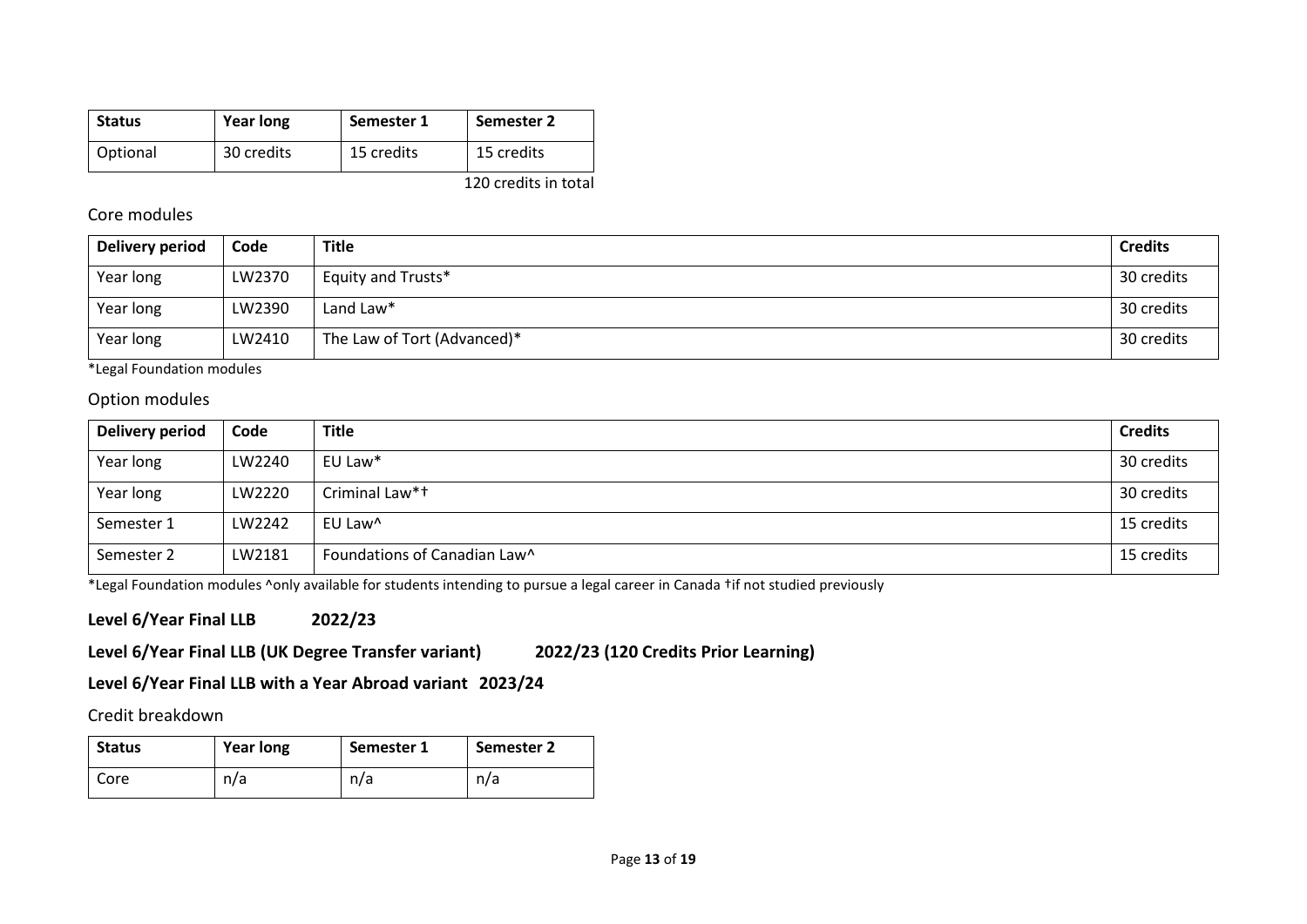| <b>Status</b> | <b>Year long</b> | Semester 1 | Semester 2            |
|---------------|------------------|------------|-----------------------|
| Optional      | 30 credits       | 15 credits | 15 credits            |
|               |                  |            | $1.20 \times 10^{-1}$ |

#### 120 credits in total

### Core modules

| Delivery period | Code   | <b>Title</b>                | <b>Credits</b> |
|-----------------|--------|-----------------------------|----------------|
| Year long       | LW2370 | Equity and Trusts*          | 30 credits     |
| Year long       | LW2390 | Land Law*                   | 30 credits     |
| Year long       | LW2410 | The Law of Tort (Advanced)* | 30 credits     |

\*Legal Foundation modules

### Option modules

| <b>Delivery period</b> | Code   | <b>Title</b>                 | <b>Credits</b> |
|------------------------|--------|------------------------------|----------------|
| Year long              | LW2240 | EU Law*                      | 30 credits     |
| Year long              | LW2220 | Criminal Law*+               | 30 credits     |
| Semester 1             | LW2242 | EU Law <sup>^</sup>          | 15 credits     |
| Semester 2             | LW2181 | Foundations of Canadian Law^ | 15 credits     |

\*Legal Foundation modules ^only available for students intending to pursue a legal career in Canada †if not studied previously

# **Level 6/Year Final LLB 2022/23**

# **Level 6/Year Final LLB (UK Degree Transfer variant) 2022/23 (120 Credits Prior Learning)**

# **Level 6/Year Final LLB with a Year Abroad variant 2023/24**

# Credit breakdown

| <b>Status</b> | <b>Year long</b> | Semester 1 | <b>Semester 2</b> |
|---------------|------------------|------------|-------------------|
| Core          | n/a              | n/a        | n/a               |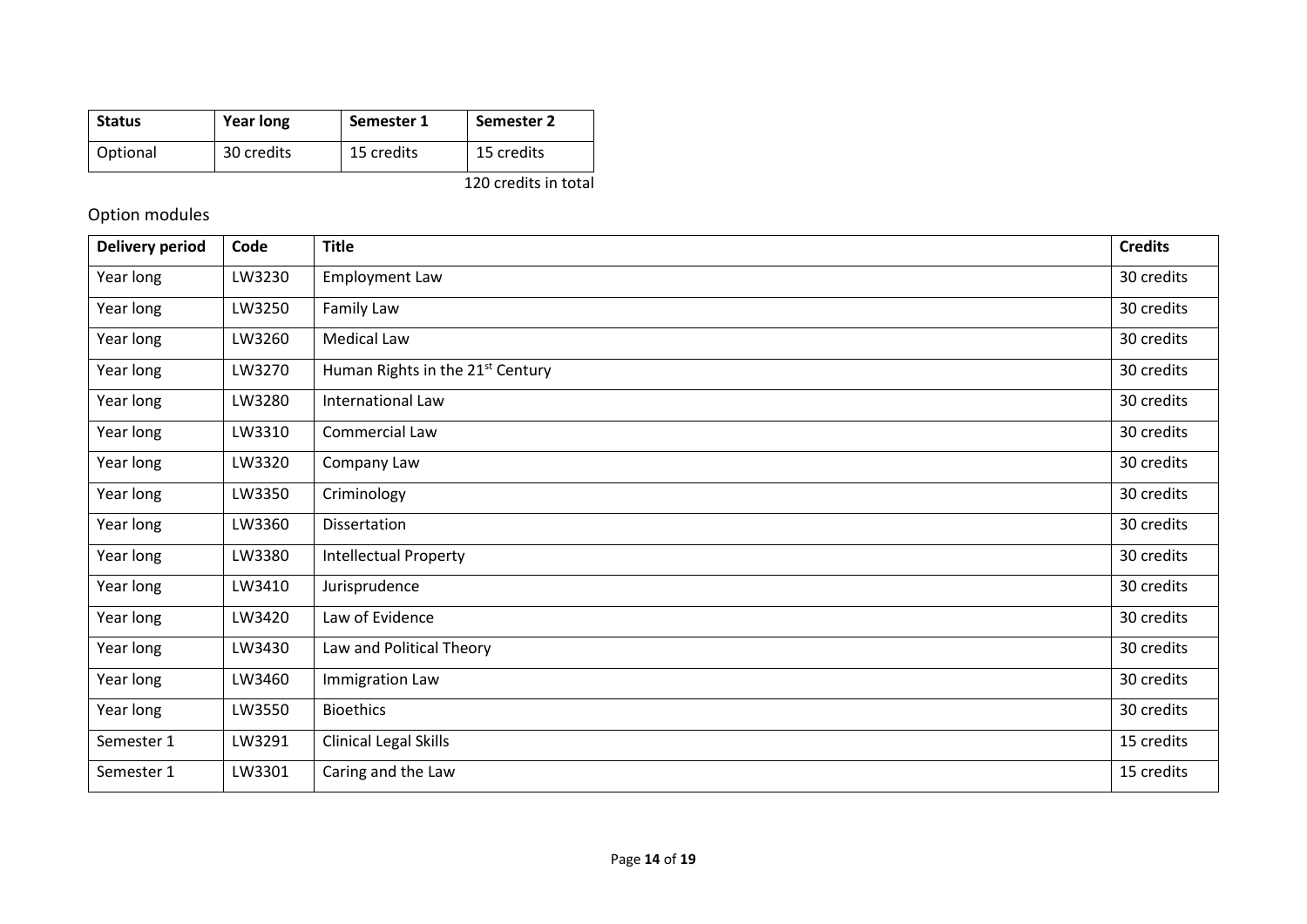| <b>Status</b> | <b>Year long</b> | Semester 1 | Semester 2 |
|---------------|------------------|------------|------------|
| Optional      | 30 credits       | 15 credits | 15 credits |
|               |                  |            |            |

120 credits in total

# Option modules

| <b>Delivery period</b> | Code   | <b>Title</b>                                 | <b>Credits</b> |
|------------------------|--------|----------------------------------------------|----------------|
| Year long              | LW3230 | <b>Employment Law</b>                        | 30 credits     |
| Year long              | LW3250 | Family Law                                   | 30 credits     |
| Year long              | LW3260 | <b>Medical Law</b>                           | 30 credits     |
| Year long              | LW3270 | Human Rights in the 21 <sup>st</sup> Century | 30 credits     |
| Year long              | LW3280 | <b>International Law</b>                     | 30 credits     |
| Year long              | LW3310 | Commercial Law                               | 30 credits     |
| Year long              | LW3320 | Company Law                                  | 30 credits     |
| Year long              | LW3350 | Criminology                                  | 30 credits     |
| Year long              | LW3360 | Dissertation                                 | 30 credits     |
| Year long              | LW3380 | <b>Intellectual Property</b>                 | 30 credits     |
| Year long              | LW3410 | Jurisprudence                                | 30 credits     |
| Year long              | LW3420 | Law of Evidence                              | 30 credits     |
| Year long              | LW3430 | Law and Political Theory                     | 30 credits     |
| Year long              | LW3460 | Immigration Law                              | 30 credits     |
| Year long              | LW3550 | <b>Bioethics</b>                             | 30 credits     |
| Semester 1             | LW3291 | <b>Clinical Legal Skills</b>                 | 15 credits     |
| Semester 1             | LW3301 | Caring and the Law                           | 15 credits     |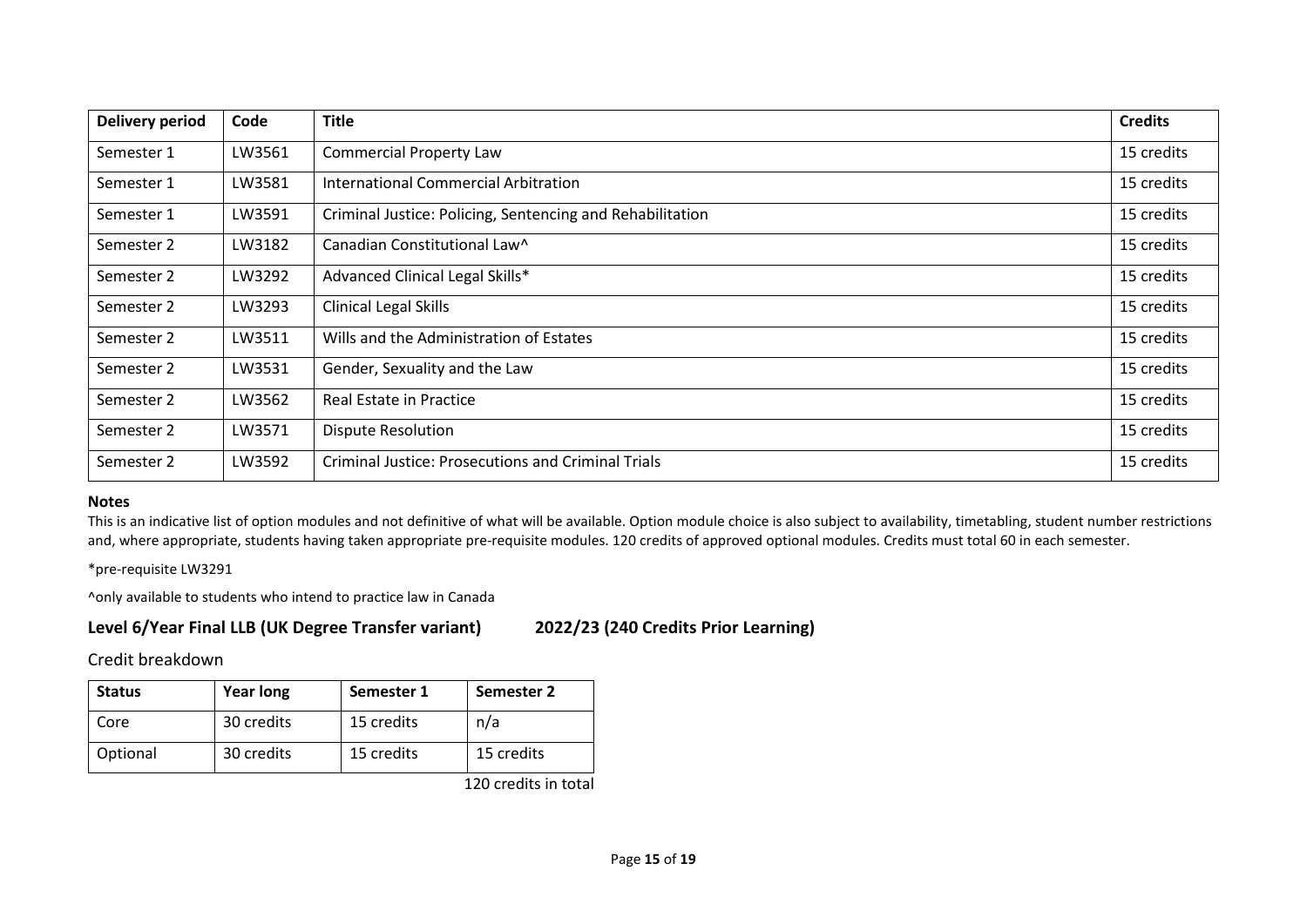| <b>Delivery period</b> | Code   | <b>Title</b>                                              | <b>Credits</b> |
|------------------------|--------|-----------------------------------------------------------|----------------|
| Semester 1             | LW3561 | <b>Commercial Property Law</b>                            | 15 credits     |
| Semester 1             | LW3581 | International Commercial Arbitration                      | 15 credits     |
| Semester 1             | LW3591 | Criminal Justice: Policing, Sentencing and Rehabilitation | 15 credits     |
| Semester 2             | LW3182 | Canadian Constitutional Law^                              | 15 credits     |
| Semester 2             | LW3292 | Advanced Clinical Legal Skills*                           | 15 credits     |
| Semester 2             | LW3293 | <b>Clinical Legal Skills</b>                              | 15 credits     |
| Semester 2             | LW3511 | Wills and the Administration of Estates                   | 15 credits     |
| Semester 2             | LW3531 | Gender, Sexuality and the Law                             | 15 credits     |
| Semester 2             | LW3562 | Real Estate in Practice                                   | 15 credits     |
| Semester 2             | LW3571 | <b>Dispute Resolution</b>                                 | 15 credits     |
| Semester 2             | LW3592 | <b>Criminal Justice: Prosecutions and Criminal Trials</b> | 15 credits     |

#### **Notes**

This is an indicative list of option modules and not definitive of what will be available. Option module choice is also subject to availability, timetabling, student number restrictions and, where appropriate, students having taken appropriate pre-requisite modules. 120 credits of approved optional modules. Credits must total 60 in each semester.

\*pre-requisite LW3291

^only available to students who intend to practice law in Canada

# **Level 6/Year Final LLB (UK Degree Transfer variant) 2022/23 (240 Credits Prior Learning)**

Credit breakdown

| <b>Status</b> | <b>Year long</b> | Semester 1 | Semester 2 |
|---------------|------------------|------------|------------|
| Core          | 30 credits       | 15 credits | n/a        |
| Optional      | 30 credits       | 15 credits | 15 credits |

120 credits in total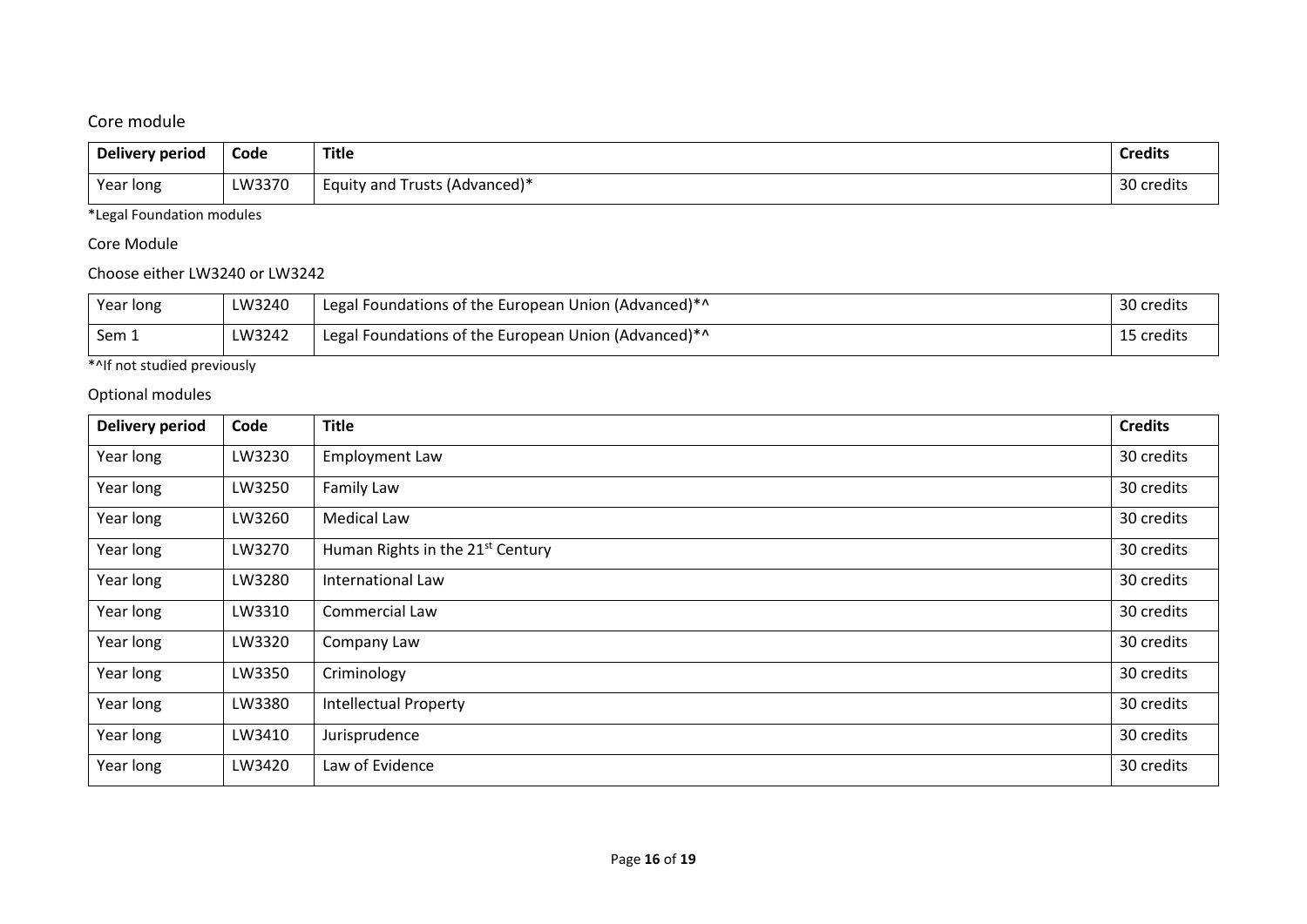# Core module

| Delivery period | Code   | <b>Title</b>                  | <b>Credits</b>         |
|-----------------|--------|-------------------------------|------------------------|
| Year long       | LW3370 | Equity and Trusts (Advanced)* | $\Omega$<br>30 credits |

\*Legal Foundation modules

# Core Module

# Choose either LW3240 or LW3242

| Year long | LW3240 | Legal Foundations of the European Union (Advanced)*^ | 30 credits |
|-----------|--------|------------------------------------------------------|------------|
| Sem.      | LW3242 | Legal Foundations of the European Union (Advanced)*^ | 15 credits |

# \*^If not studied previously

# Optional modules

| <b>Delivery period</b> | Code   | <b>Title</b>                                 | <b>Credits</b> |
|------------------------|--------|----------------------------------------------|----------------|
| Year long              | LW3230 | <b>Employment Law</b>                        | 30 credits     |
| Year long              | LW3250 | Family Law                                   | 30 credits     |
| Year long              | LW3260 | <b>Medical Law</b>                           | 30 credits     |
| Year long              | LW3270 | Human Rights in the 21 <sup>st</sup> Century | 30 credits     |
| Year long              | LW3280 | International Law                            | 30 credits     |
| Year long              | LW3310 | Commercial Law                               | 30 credits     |
| Year long              | LW3320 | Company Law                                  | 30 credits     |
| Year long              | LW3350 | Criminology                                  | 30 credits     |
| Year long              | LW3380 | <b>Intellectual Property</b>                 | 30 credits     |
| Year long              | LW3410 | Jurisprudence                                | 30 credits     |
| Year long              | LW3420 | Law of Evidence                              | 30 credits     |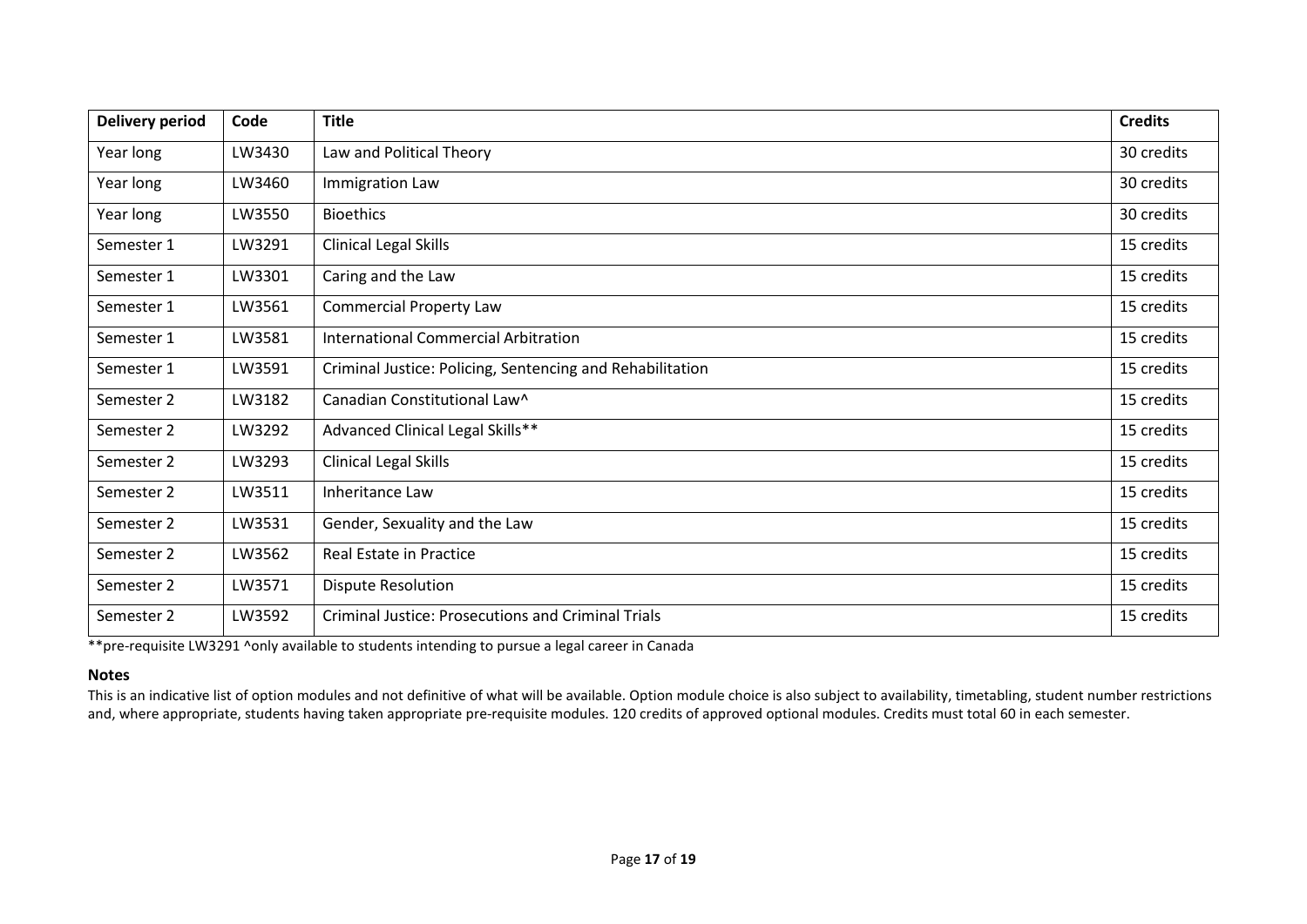| <b>Delivery period</b> | Code   | <b>Title</b>                                              | <b>Credits</b> |
|------------------------|--------|-----------------------------------------------------------|----------------|
| Year long              | LW3430 | Law and Political Theory                                  | 30 credits     |
| Year long              | LW3460 | Immigration Law                                           | 30 credits     |
| Year long              | LW3550 | <b>Bioethics</b>                                          | 30 credits     |
| Semester 1             | LW3291 | <b>Clinical Legal Skills</b>                              | 15 credits     |
| Semester 1             | LW3301 | Caring and the Law                                        | 15 credits     |
| Semester 1             | LW3561 | <b>Commercial Property Law</b>                            | 15 credits     |
| Semester 1             | LW3581 | <b>International Commercial Arbitration</b>               | 15 credits     |
| Semester 1             | LW3591 | Criminal Justice: Policing, Sentencing and Rehabilitation | 15 credits     |
| Semester 2             | LW3182 | Canadian Constitutional Law^                              | 15 credits     |
| Semester 2             | LW3292 | Advanced Clinical Legal Skills**                          | 15 credits     |
| Semester 2             | LW3293 | <b>Clinical Legal Skills</b>                              | 15 credits     |
| Semester 2             | LW3511 | Inheritance Law                                           | 15 credits     |
| Semester 2             | LW3531 | Gender, Sexuality and the Law                             | 15 credits     |
| Semester 2             | LW3562 | Real Estate in Practice                                   | 15 credits     |
| Semester 2             | LW3571 | <b>Dispute Resolution</b>                                 | 15 credits     |
| Semester 2             | LW3592 | <b>Criminal Justice: Prosecutions and Criminal Trials</b> | 15 credits     |

\*\*pre-requisite LW3291 ^only available to students intending to pursue a legal career in Canada

#### **Notes**

This is an indicative list of option modules and not definitive of what will be available. Option module choice is also subject to availability, timetabling, student number restrictions and, where appropriate, students having taken appropriate pre-requisite modules. 120 credits of approved optional modules. Credits must total 60 in each semester.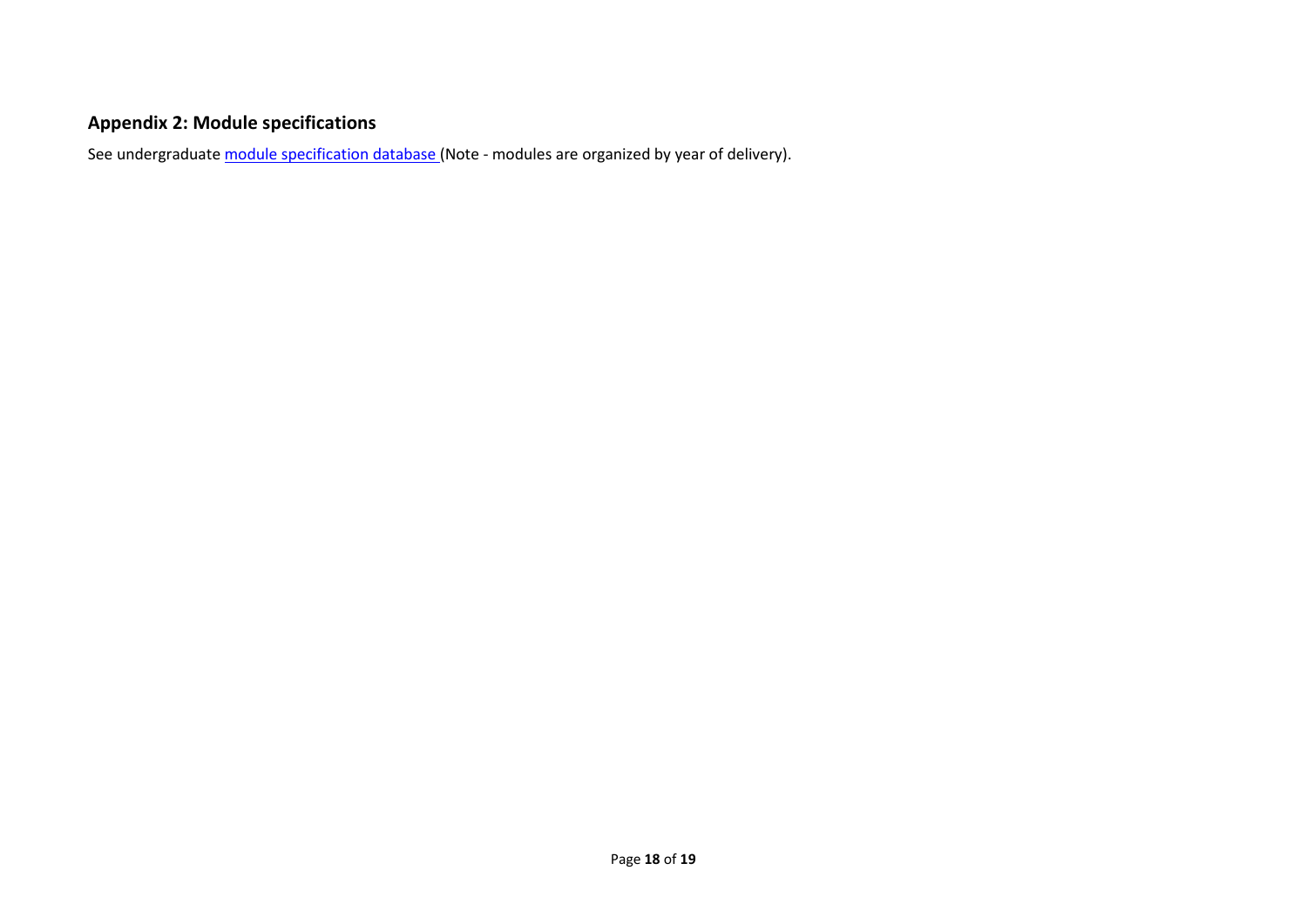# **Appendix 2: Module specifications**

See undergraduat[e module specification database](http://www.le.ac.uk/sas/courses/documentation) (Note - modules are organized by year of delivery).